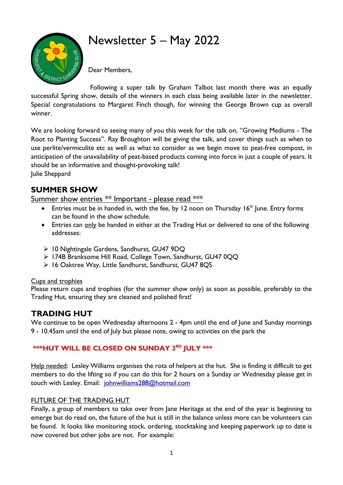

# Newsletter 5 – May 2022

Dear Members,

Following a super talk by Graham Talbot last month there was an equally successful Spring show, details of the winners in each class being available later in the newsletter. Special congratulations to Margaret Finch though, for winning the George Brown cup as overall winner.

We are looking forward to seeing many of you this week for the talk on, "Growing Mediums - The Root to Planting Success". Ray Broughton will be giving the talk, and cover things such as when to use perlite/vermiculite etc as well as what to consider as we begin move to peat-free compost, in anticipation of the unavailability of peat-based products coming into force in just a couple of years. It should be an informative and thought-provoking talk! Julie Sheppard

## **SUMMER SHOW**

Summer show entries \*\* Important - please read \*\*\*

- Entries must be in handed in, with the fee, by 12 noon on Thursday 16<sup>th</sup> June. Entry forms can be found in the show schedule.
- Entries can only be handed in either at the Trading Hut or delivered to one of the following addresses:
- ➢ 10 Nightingale Gardens, Sandhurst, GU47 9DQ
- ➢ 174B Branksome Hill Road, College Town, Sandhurst, GU47 0QQ
- ➢ 16 Oaktree Way, Little Sandhurst, Sandhurst, GU47 8QS

#### Cups and trophies

Please return cups and trophies (for the summer show only) as soon as possible, preferably to the Trading Hut, ensuring they are cleaned and polished first!

### **TRADING HUT**

We continue to be open Wednesday afternoons 2 - 4pm until the end of June and Sunday mornings 9 - 10.45am until the end of July but please note, owing to activities on the park the

#### **\*\*\*HUT WILL BE CLOSED ON SUNDAY 3RD JULY \*\*\***

Help needed: Lesley Williams organises the rota of helpers at the hut. She is finding it difficult to get members to do the lifting so if you can do this for 2 hours on a Sunday or Wednesday please get in touch with Lesley. Email: [johnwilliams288@hotmail.com](mailto:johnwilliams288@hotmail.com)

#### FUTURE OF THE TRADING HUT

Finally, a group of members to take over from Jane Heritage at the end of the year is beginning to emerge but do read on, the future of the hut is still in the balance unless more can be volunteers can be found. It looks like monitoring stock, ordering, stocktaking and keeping paperwork up to date is now covered but other jobs are not. For example: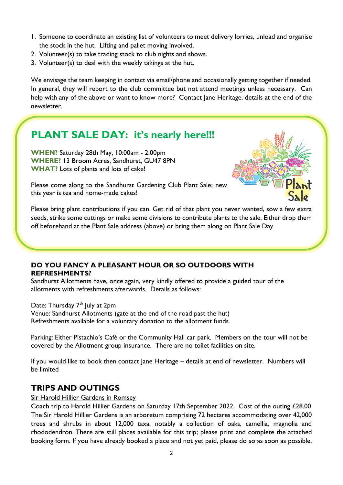- 1. Someone to coordinate an existing list of volunteers to meet delivery lorries, unload and organise the stock in the hut. Lifting and pallet moving involved.
- 2. Volunteer(s) to take trading stock to club nights and shows.
- 3. Volunteer(s) to deal with the weekly takings at the hut.

We envisage the team keeping in contact via email/phone and occasionally getting together if needed. In general, they will report to the club committee but not attend meetings unless necessary. Can help with any of the above or want to know more? Contact Jane Heritage, details at the end of the newsletter.

## **PLANT SALE DAY: it's nearly here!!!**

**WHEN?** Saturday 28th May, 10:00am - 2:00pm **WHERE?** 13 Broom Acres, Sandhurst, GU47 8PN **WHAT?** Lots of plants and lots of cake!



Please come along to the Sandhurst Gardening Club Plant Sale; new this year is tea and home-made cakes!

Please bring plant contributions if you can. Get rid of that plant you never wanted, sow a few extra seeds, strike some cuttings or make some divisions to contribute plants to the sale. Either drop them off beforehand at the Plant Sale address (above) or bring them along on Plant Sale Day

#### **DO YOU FANCY A PLEASANT HOUR OR SO OUTDOORS WITH REFRESHMENTS?**

Sandhurst Allotments have, once again, very kindly offered to provide a guided tour of the allotments with refreshments afterwards. Details as follows:

Date: Thursday 7<sup>th</sup> July at 2pm Venue: Sandhurst Allotments (gate at the end of the road past the hut) Refreshments available for a voluntary donation to the allotment funds.

Parking: Either Pistachio's Café or the Community Hall car park. Members on the tour will not be covered by the Allotment group insurance. There are no toilet facilities on site.

If you would like to book then contact Jane Heritage – details at end of newsletter. Numbers will be limited

## **TRIPS AND OUTINGS**

Sir Harold Hillier Gardens in Romsey

Coach trip to Harold Hillier Gardens on Saturday 17th September 2022. Cost of the outing £28.00 The Sir Harold Hillier Gardens is an arboretum comprising 72 hectares accommodating over 42,000 trees and shrubs in about 12,000 taxa, notably a collection of oaks, camellia, magnolia and rhododendron. There are still places available for this trip; please print and complete the attached booking form. If you have already booked a place and not yet paid, please do so as soon as possible,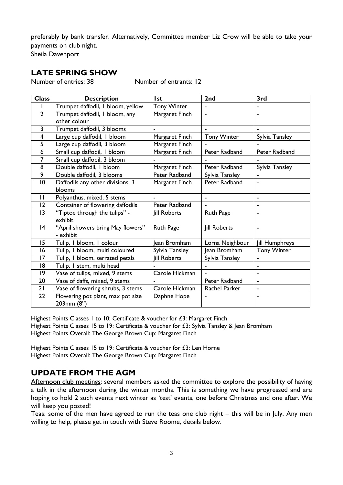preferably by bank transfer. Alternatively, Committee member Liz Crow will be able to take your payments on club night.

Sheila Davenport

#### **LATE SPRING SHOW**

Number of entries: 38 Number of entrants: 12

| <b>Class</b>   | <b>Description</b>                              | <b>Ist</b>          | 2 <sub>nd</sub>     | 3rd                |
|----------------|-------------------------------------------------|---------------------|---------------------|--------------------|
|                | Trumpet daffodil, I bloom, yellow               | <b>Tony Winter</b>  |                     |                    |
| $\overline{2}$ | Trumpet daffodil, I bloom, any                  | Margaret Finch      |                     |                    |
|                | other colour                                    |                     |                     |                    |
| 3              | Trumpet daffodil, 3 blooms                      | $\blacksquare$      | $\blacksquare$      | ٠                  |
| 4              | Large cup daffodil, I bloom                     | Margaret Finch      | <b>Tony Winter</b>  | Sylvia Tansley     |
| 5              | Large cup daffodil, 3 bloom                     | Margaret Finch      |                     |                    |
| 6              | Small cup daffodil, I bloom                     | Margaret Finch      | Peter Radband       | Peter Radband      |
| $\overline{7}$ | Small cup daffodil, 3 bloom                     |                     |                     |                    |
| 8              | Double daffodil, I bloom                        | Margaret Finch      | Peter Radband       | Sylvia Tansley     |
| 9              | Double daffodil, 3 blooms                       | Peter Radband       | Sylvia Tansley      | $\blacksquare$     |
| 10             | Daffodils any other divisions, 3                | Margaret Finch      | Peter Radband       |                    |
|                | blooms                                          |                     |                     |                    |
| $\mathbf{I}$   | Polyanthus, mixed, 5 stems                      | ۰                   |                     | ۰                  |
| 2              | Container of flowering daffodils                | Peter Radband       |                     | $\blacksquare$     |
| 13             | "Tiptoe through the tulips" -                   | <b>Jill Roberts</b> | Ruth Page           | ÷                  |
|                | exhibit                                         |                     |                     |                    |
| 4              | "April showers bring May flowers"               | <b>Ruth Page</b>    | <b>Jill Roberts</b> | $\blacksquare$     |
|                | - exhibit                                       |                     |                     |                    |
| 15             | Tulip, I bloom, I colour                        | lean Bromham        | Lorna Neighbour     | Jill Humphreys     |
| 16             | Tulip, I bloom, multi coloured                  | Sylvia Tansley      | Jean Bromham        | <b>Tony Winter</b> |
| 17             | Tulip, I bloom, serrated petals                 | <b>Jill Roberts</b> | Sylvia Tansley      |                    |
| 18             | Tulip, I stem, multi head                       |                     |                     | $\blacksquare$     |
| 9              | Vase of tulips, mixed, 9 stems                  | Carole Hickman      |                     | ۰                  |
| 20             | Vase of daffs, mixed, 9 stems                   |                     | Peter Radband       | ۰                  |
| 21             | Vase of flowering shrubs, 3 stems               | Carole Hickman      | Rachel Parker       | $\blacksquare$     |
| 22             | Flowering pot plant, max pot size<br>203mm (8") | Daphne Hope         |                     |                    |

Highest Points Classes 1 to 10: Certificate & voucher for £3: Margaret Finch Highest Points Classes 15 to 19: Certificate & voucher for £3: Sylvia Tansley & Jean Bromham Highest Points Overall: The George Brown Cup: Margaret Finch

Highest Points Classes 15 to 19: Certificate & voucher for £3: Len Horne Highest Points Overall: The George Brown Cup: Margaret Finch

#### **UPDATE FROM THE AGM**

Afternoon club meetings: several members asked the committee to explore the possibility of having a talk in the afternoon during the winter months. This is something we have progressed and are hoping to hold 2 such events next winter as 'test' events, one before Christmas and one after. We will keep you posted!

Teas: some of the men have agreed to run the teas one club night – this will be in July. Any men willing to help, please get in touch with Steve Roome, details below.